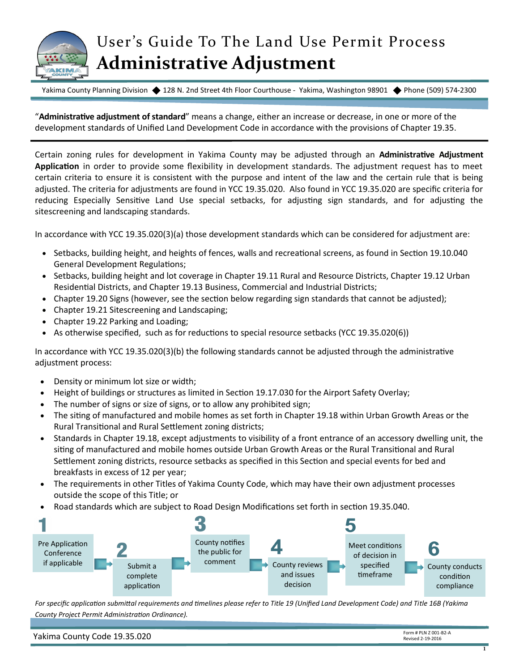

## User's Guide To The Land Use Permit Process **Administrative Adjustment**

Yakima County Planning Division ♦ 128 N. 2nd Street 4th Floor Courthouse - Yakima, Washington 98901 ♦ Phone (509) 574-2300

"**Administrative adjustment of standard**" means a change, either an increase or decrease, in one or more of the development standards of Unified Land Development Code in accordance with the provisions of Chapter 19.35.

Certain zoning rules for development in Yakima County may be adjusted through an **Administrative Adjustment Application** in order to provide some flexibility in development standards. The adjustment request has to meet certain criteria to ensure it is consistent with the purpose and intent of the law and the certain rule that is being adjusted. The criteria for adjustments are found in YCC 19.35.020. Also found in YCC 19.35.020 are specific criteria for reducing Especially Sensitive Land Use special setbacks, for adjusting sign standards, and for adjusting the sitescreening and landscaping standards.

In accordance with YCC 19.35.020(3)(a) those development standards which can be considered for adjustment are:

- Setbacks, building height, and heights of fences, walls and recreational screens, as found in Section 19.10.040 General Development Regulations;
- Setbacks, building height and lot coverage in Chapter 19.11 Rural and Resource Districts, Chapter 19.12 Urban Residential Districts, and Chapter 19.13 Business, Commercial and Industrial Districts;
- Chapter 19.20 Signs (however, see the section below regarding sign standards that cannot be adjusted);
- Chapter 19.21 Sitescreening and Landscaping;
- Chapter 19.22 Parking and Loading;
- As otherwise specified, such as for reductions to special resource setbacks (YCC 19.35.020(6))

In accordance with YCC 19.35.020(3)(b) the following standards cannot be adjusted through the administrative adjustment process:

- Density or minimum lot size or width;
- Height of buildings or structures as limited in Section 19.17.030 for the Airport Safety Overlay;
- The number of signs or size of signs, or to allow any prohibited sign;
- The siting of manufactured and mobile homes as set forth in Chapter 19.18 within Urban Growth Areas or the Rural Transitional and Rural Settlement zoning districts;
- Standards in Chapter 19.18, except adjustments to visibility of a front entrance of an accessory dwelling unit, the siting of manufactured and mobile homes outside Urban Growth Areas or the Rural Transitional and Rural Settlement zoning districts, resource setbacks as specified in this Section and special events for bed and breakfasts in excess of 12 per year;
- The requirements in other Titles of Yakima County Code, which may have their own adjustment processes outside the scope of this Title; or
- Road standards which are subject to Road Design Modifications set forth in section 19.35.040.



*For specific application submittal requirements and timelines please refer to Title 19 (Unified Land Development Code) and Title 16B (Yakima County Project Permit Administration Ordinance).*

 $\sum_{\text{Formula} \text{ 19.35.0201}} \sum_{\text{Formula} \text{ 19.35.0201}} 10.35 \cdot 10^{-10} \cdot 10^{-10} \cdot 10^{-10} \cdot 10^{-10} \cdot 10^{-10} \cdot 10^{-10} \cdot 10^{-10} \cdot 10^{-10} \cdot 10^{-10} \cdot 10^{-10} \cdot 10^{-10} \cdot 10^{-10} \cdot 10^{-10} \cdot 10^{-10} \cdot 10^{-10} \cdot 10^{-10} \cdot 10^{-10} \cdot 10^{-10} \cdot 10^{-$ Revised 2-19-2016